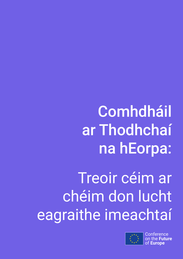**Comhdháil** ar Thodhchaí na hEorpa:

Treoir céim ar chéim don lucht eagraithe imeachtaí



**Conference** u**ture** of **Europe**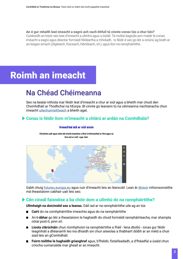An é gur mhaith leat imeacht a eagrú ach nach bhfuil tú cinnte conas tús a chur leis?

Cuideoidh an treoir seo leat d'imeacht a ullmhú agus a óstáil. Tá moltaí éagsúla ann maidir le conas imeacht a eagrú agus déantar formáidí féideartha a mholadh. Is féidir é seo go léir a oiriúnú ag brath ar an leagan amach (digiteach, fisiceach, hibrideach, srl.), agus líon na rannpháirtithe.

# Roimh an imeacht

## Na Chéad Chéimeanna

Seo na bealaí nithiúla inar féidir leat d'imeacht a chur ar siúl agus a bheith mar chuid den Chomhdháil ar Thodhchaí na hEorpa. Bí cinnte go leanann tú na céimeanna riachtanacha chun imeacht [uilechuimsitheach](https://futureu.europa.eu/pages/inclusive) a bheith agat.

### **Conas is féidir liom m'imeacht a chlárú ar ardán na Comhdhála?**



Cloisimis uait agus roinn do chuid smaointe a bhuí le himeachtaí ar líne agus as líne atá ar siúl i ngar duit.

Imeachtaí atá ar siúl anois

Gabh chuig [futureu.europa.eu](https://futureu.europa.eu/) agus cuir d'imeacht leis an léarscáil. Lean ár [dtreoir](https://futureu.europa.eu/pages/event-organisers) mhionsonraithe má theastaíonn cabhair uait leis seo.

#### **Cén cineál faisnéise a ba chóir dom a ullmhú do na rannpháirtithe?**

**Ullmhaigh na doiciméid seo a leanas.** Dáil iad ar na rannpháirtithe uile ag an tús

- **Cairt** do na comhpháirtithe imeachta agus do na rannpháirtithe  $\blacksquare$
- An **t-ábhar** go léir a theastaíonn le haghaidh do chuid formáidí rannpháirteacha, mar shampla nótaí post-it, pinn srl.
- **Liosta clárúcháin** chun ríomhphoist na rannpháirtithe a fháil lena dtoiliú ionas gur féidir teagmháil a dhéanamh leo ina dhiaidh sin chun aiseolas a thabhairt dóíbh ar an méid a chuir siad leis an gComhdháil.
- **Foirm toilithe le haghaidh grianghraf** agus, b'fhéidir, fístaifeadadh, a d'fhéadfaí a úsáid chun críocha cumarsáide mar gheall ar an imeacht.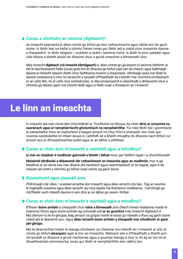### **Conas a ullmhaím an seomra (digiteach)?**

ás imeacht pearsanta é, déan cinnte go bhfuil go leor cathaoireacha agus táblaí ann do gach duine. Is féidir leat na ballaí a ullmhú freisin ionas gur féidir iad a úsáid chun smaointe daoine a thaispeáint. Is féidir teilgeoir / scáileán a úsáid i seomraí móra. Is féidir le pinn, páipéar agus cláir bhána a bheith áisiúil do dhaoine chun a gcuid smaointe a bhreacadh síos.

Más imeacht **digiteach (nó imeacht hibridgeach)** é, déan cinnte go gcuireann tú seomra feithimh ar fáil le teachtaireacht fáilte (ionas gurb eol do dhaoine go bhfuil siad san áit cheart) agus balbhaigh daoine ar theacht isteach dóibh chun fadhbanna torainn a sheachaint. Ullmhaigh spás inar féidir le daoine ceisteanna a chur nó tacaíocht a iarraidh (d'fhéadfadh sé a bheith mar chomhrá inmheánach ar an uirlis féin, nó ar uirlis níos sofaisticiúla). Is dea-smaoineamh é cleachtadh a dhéanamh chun a chinntiú go dtéann gach rud chomh réidh agus is féidir nuair a thosaíonn an t-imeacht.

# Le linn an imeachta

In imeacht atá mar chuid den Chomhdháil ar Thodhchaí na hEorpa, ba chóir **díriú ar smaointe na saoránach agus ar rannpháirtíocht ghníomhach na rannpháirtithe**. Fiú más féidir dul i gcomhairle le saineolaithe chun an tsaincheist a leagan amach nó chun fíricí a sheiceáil, níor chóir gur cruinniú saineolaithe ón mbarr anuas é; caithfidh sé a bheith intuigthe do dhaoine nach bhfuil cur amach acu ar dhíospóireachtaí poiblí agus ar an ábhar a phléitear.

#### **Conas ar chóir dom m'imeacht a reáchtáil agus a mhodhnú?**

**Is mór an chabhair é modhnóir gairmiúil a bheith i láthair** toisc gur feidhm íogair í a chomhlíonadh.

**Molaimid idirdhealú a dhéanamh idir cathaoirleach an imeachta agus an modhnóir,** mar is gá breathnú ar an duine seo mar dhuine atá neodrach agus neamhspleách ar an eagraí, agus é de chúram air/uirthi a chinntiú go bhfuil cead cainte ag gach duine.

#### **Bainistíocht agus pleanáil ama**

PUllmhaigh clár oibre / sceideal amaithe don imeacht agus déan iarracht cloí leis. Fág an seomra le haghaidh sosanna agus déan iarracht dul níos tapúla má tharlaíonn moilleanna. Cuimhnigh go mb'fhéidir nach mbeidh daoine in ann díriú ar an ábhar go ceann i bhfad.

#### **Conas ar chóir dom m'imeacht a reáchtáil agus a mhodhnú?**

B'fhearr **duine amháin** a cheapadh chun **nótaí a bhreacadh** síos (féach freisin leideanna maidir le tuairisciú thíos) agus duine amháin ag coinneáil súil **ar an gcomhrá** más imeacht digiteach é. Má oibríonn tú le fo-ghrúpaí, leag amach na grúpaí roimh ré ionas go mbeidh a fhios ag gach duine céard atá le déanamh acu. Agus **déan iarracht duine amháin a cheapadh mar mhodhnóir ar gach plé-ghrúpa**.

Má tá deacrachtaí maidir le teanga choiteann sa cheantar ina mbeidh an t-imeacht ar siúl, bí cinnte go bhfuil **ateangairí** agat le linn an imeachta. Réiteach eile a d'fhéadfadh a bheith ann ná iarraidh ar dhaoine a gcuid riachtanas agus a gcumas teanga a chur in iúl ag an tús nó ar shuaitheantais ainmneacha, ionas gur féidir le rannpháirtithe eile cabhrú leo.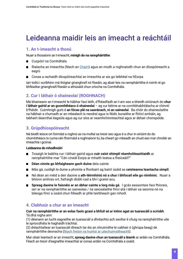## Leideanna maidir leis an imeacht a reáchtáil

### **1. An t-imeacht a thosú**

Nuair a thosaíonn an t-imeacht, **mínigh do na rannpháirtithe**:

- Cuspóirí na Comhdhála  $\blacksquare$
- Rialacha an imeachta (féach an [Chairt](https://futureu.europa.eu/pages/charter)) agus an modh a roghnaíodh chun an díospóireacht a eagrú
- Conas a rachaidh díospóireachtaí an imeachta ar ais go leibhéal na hEorpa

Iarr toiliú i scríbhinn má thógtar grianghraif nó físeáin, ag abair leis na rannpháirtithe é roimh ré go bhféadtar grianghraif/físeáin a athúsáid chun críocha na Comhdhála.

### **2. Cur i láthair ó shaineolaí (ROGHNACH)**

Má bhaineann an t-imeacht le hábhar faoi leith, d'fhéadfadh an t-am seo a bheidh oiriúnach do **chur i láthair gairid ar an gcomhthéacs ó shaineolaí** – ag cur béime ar na comhbhabhtálacha ar chinntí b'fhéidir. Cuimhnigh gurb é **an fócas plé na saoránach, ní an saineolaí**. Ba chóir do shaineolaithe na hábhair a chumadh ar an mbealach is neodraí agus is féidir, bunaithe ar fhíricí amháin, ag tabhairt dearcthaí éagsúla agus ag cur síos ar neamhchinnteachtaí agus ar ábhair chonspóide.

### **3. Grúpdhíospóireacht**

Ná bíodh leisce ort formáid a roghnú as na moltaí sa treoir seo agus é a chur in oiriúint do do chomhthéacs Is cuma cén fhormáid a roghnaíonn tú, ba cheart go mbeadh an chuid seo mar chroílár an imeachta i gcónaí.

#### **Leideanna do mhodhnóirí**

- Tosaigh le babhta cur i láthair gairid agus **cuir ceist shimplí réamhchleachtaidh** ar rannpháirtithe mar "Cén cineál Eorpa ar mhaith leatsa a fheiceáil?"
- **Déan cinnte go bhfaigheann gach duine** deis cainte
- Más gá, cuidigh le duine a phointe a fhorbairt ag baint úsáid as **ceisteanna leantacha simplí**.
- Ná déan an méid a deir daoine a **ath-léirmhíniú nó a chur i bhfocail eile go rómhinic**. Nuair a bhíonn amhras ort, fiafraigh díobh cad a bhí i gceist acu.
- **Spreag daoine le faisnéis ar an ábhar cainte a lorg más gá**. I gcás easaontais faoi fhíorais, iarr ar na rannpháirtithe an saineolas / na seiceálaithe fíricí atá i láthair sa seomra nó na bileoga fíricí a úsáid chun filleadh ar phlé tairbheach gan mhoill.

### **4. Clabhsúr a chur ar an imeacht**

#### **Cuir na rannpháirtithe ar an eolas faoin gcaoi a bhfuil sé ar intinn agat an tuarascáil a scríobh**. Tá dhá rogha ann:

(1) déanann an lucht eagraithe an tuarascáil a dhréachtú ach seoltar é chuig na rannpháirtithe uile le spriocdháta le haghaidh tráchtaí;

(2) dréachtaítear an tuarascáil díreach tar éis an chruinnithe le cabhair ó [\(](https://futureu.europa.eu/pages/inclusive)ghrúpa beag) de rannpháirtithe deonacha ([féach freisin na huirlisí ar uilechuimsitheacht](https://futureu.europa.eu/pages/inclusive)).

Mar obair leantach ar an imeacht, **spreag daoine chun an tuarascáil a léamh** ar ardán na Comhdhála. Féach an treoir d'eagraithe imeachtaí ar conas ardán na Comhdhála a úsáid.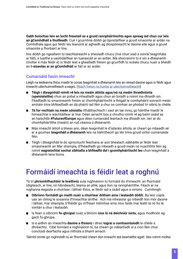**Gabh buíochas leis an lucht freastail as a gcuid rannpháirtíochta agus spreag iad chun cur leis an gComhdháil a thuilleadh**. Cuir i gcuimhne dóibh go bpostáilfear a gcuid smaointe ar ardán na Comhdhála agus gur féidir leo leanúint ar aghaidh ag díospóireacht le daoine eile agus a gcuid smaointe a fhorbairt ar líne.

Inis dóibh go ngeallann tú teachtaireacht a sheoladh chucu (má chuir siad a sonraí teagmhála ar fáil), a luaithe a uaslódáilfear an tuarascáil ar an ardán. Má shocraíonn tú é sin a dhéanamh (moltar é más féidir é) is féidir leat a ghealladh freisin go gcuirfidh tú scéala chucu nuair a bheidh an **t-aiseolas ar an gComhdháil** ar fáil ar an ardán

### **Cumarsáid faoin imeacht**

Léigh na leideanna thíos maidir le conas teagmháil a dhéanamh leis an oiread daoine agus is féidir agus imeacht uilechuimsitheach a eagrú. [\(féach freisin na huirlisí ar uilechuimsitheacht](https://futureu.europa.eu/pages/inclusive))

- $\blacksquare$ **Téigh i dteagmháil roimh ré leis na meáin áitiúla agus/nó na meáin thraidisiúnta (speisialaithe)** chun an pobal a mhealladh agus chun an toradh a roinnt ina dhiaidh sin. Féadfaidh tú smaoineamh freisin ar chomhpháirtíocht a thógáil le comhpháirtí sonrach meán amháin trína bhféadfadh an dá pháirtí iad féin a chur os comhair an phobail trí oibriú le chéile.
- **Tá for-rochtain na meán sóisialta** ríthábhachtach i saol an lae inniu, go háirithe maidir le himeachtaí a reáchtáiltear ar líne. Déan iarracht bús a chruthú roimh ré ag baint úsáid as an haischlib **#FutureofEurope** agus déan cumarsáid leantach ina dhiaidh sin. Iarr ar do chomhpháirtithe (meáin) an rud céanna a dhéanamh.
- Más imeacht áitiúil a bheas ann, déan teagmháil le d'údaráis áitiúla, ar cheart go mbeadh sé ar a gcumas **teagmháil a dhéanamh** leis na háitritheoirí go léir trína gcuid uirlisí cumarsáide féin.
- Téigh i dteagmháil le do sprioclucht féachana ar aon bhealach sábháilte ar féidir leat smaoineamh air Mar shampla, d'fhéadfadh go mbeadh a gcuid meán nó nuachtlitir féin ag roinnt **eagraíochtaí sochaí sibhialta a bhféadfá dul i gcomhpháirtíocht leo** chun teagmháil a dhéanamh lena líonra.

## Formáidí imeachta is féidir leat a roghnú

Tá trí **phríomhfhachtóir le breithniú** sula roghnaíonn tú formáid do d'imeacht: an fhormáid (digiteach, ar líne, nó hibrideach), téama an phlé, agus líon na rannpháirtithe. Féach ar na roghanna éagsúla a chuirtear i láthair thíos, ar féidir iad a úsáid agus a oiriúnú. Cuimhnigh:

- **Oibríonn formáidí go maith nuair a chuirtear dóthain ama i leataobh dóibh**. Ba leor cúpla uair an chloig le sosanna d'imeachtaí áirithe. Ach má mheastar go mbeidh líon mór daoine i láthair, mar shampla, b'fhéidir go m'fhearr tréimhse ama níos faide mar leath lá nó fiú lá iomlán a chur i leataobh.
- Is fearr a oibríonn **fo-ghrúpaí** nuair a bhíonn **níos lú ná deichniúr iontu**, agus modhnóir ag gach fo-ghrúpa.
- Is é aidhm an imeachta **daoine a threorú** i dtreo **tograí a comhaontaíodh** le chéile a dhréachtú. Cibé formáid a roghnaíonn tú, ba cheart go ndéanfadh sí a cion féin chun conclúidí dearfacha agus nithiúla a bhaint amach.

Táimid cinnte go roghnóidh tú an fhormáid cheart don imeacht atá beartaithe agat! Seo roinnt moltaí.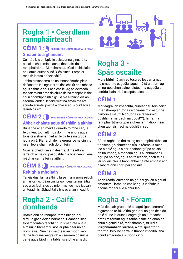## Rogha 1 • Ceardlann rannpháirteach

### CÉIM 1 **20 MINUTES NÓIMÉAD AR A LAGHAD Smaointe a ghiniúint**

Cuir tús leis an bplé le ceisteanna ginearálta oscailte chun misneach a thabhairt do na rannpháirtithe. Mar shampla, «Cad a chiallaíonn an Eoraip duitse?» nó "Cén cineál Eorpa ar mhaith leatsa a fheiceáil?"

Tabhair roinnt ama do na rannpháirtithe plé a dhéanamh ina ngrúpaí de dheichniúr ar a mhéad, agus aithne a chur ar a chéile. Ag an deireadh, tabhair roinnt ama do chuid de na rannpháirtithe chun príomhphointí a gcuid plé a roinnt leis an seomra iomlán. Is féidir leat na smaointe atá scríofa ar nótaí post-it a bhailiú agus cuid acu a léamh os ard

### CÉIM 2 **30 MINUTES NÓIMÉAD AR A LAGHAD Ábhair chainte agus dúshláin a aithint**

Bunaithe ar an méid a dúradh roimhe seo, is féidir leat tochailt níos doimhne anois agus topaicí a shainaithint ar féidir leis na grúpaí iad a phlé. Fiafraigh de na grúpaí cé na cinn is mian leo a shannadh dóibh féin.

Nuair a bheidh sé sin déanta, d'fhéadfá a iarraidh ar na grúpaí dúshláin a bhaineann lena n-ábhar cainte féin a aithint.

### CÉIM 3 **40 MINUTES NÓIMÉAD AR A LAGHAD Réitigh a mholadh**

Tar éis dúshláin a aithint, tá sé in am anois réitigh a fháil orthu. Déan cinnte go ndéantar na réitigh seo a scríobh síos go mion, mar go mba iadsan an toradh is tábhachtaí a bheas ar an imeacht.

### Rogha 2 • Caifé domhanda

Rothlaíonn na rannpháirtithe idir grúpaí difriúla gach deich nóiméad. Déanann siad tobsmaointeoireacht chun smaointe nua a aimsiú, a bhreactar síos ar pháipéar nó ar ríomhaire. Nuair a úsáidtear an modh seo duine le duine, eagraigh an seomra cosúil le caifé agus bíodh na táblaí scaipthe amach.



## Rogha 3 • Spás oscailte

Mura bhfuil tú ach ag tosú ag leagan amach na smaointe éagsúla, agus má tá an t-am ag an ngrúpa chun saincheisteanna éagsúla a scrúdú, bain triail as spás oscailte. .

### CÉIM 1

Mar eagraí an imeachta, cuireann tú féin ceist (mar shampla "Conas a dhéanaimid astuithe carbóin a ísliú?" Nó "Conas a réiteoimid dúshláin i margadh na bpost?"). Iarr ar na rannpháirtithe grúpaí a dhéanamh díobh féin chun tabhairt faoi na dúshláin seo.

### CÉIM 2

Bíonn rogha de thrí ról ag na rannpháirtithe: an tionscnóir, a chuireann tús le téama is mian leo a phlé agus a chruthaíonn grúpa as sin, an bhumbóg, a fhanann agus a labhraíonn i ngrúpa nó dhó, agus an féileacán, nach féidir léi nó leis cloí le haon ábhar cainte amháin ach a labhraíonn i ngrúpaí éagsúla.

### CÉIM 3

Ar deireadh, cuireann na grúpaí go léir a gcuid smaointe i láthair a chéile agus is féidir le daoine moltaí eile a chur leo.

## Rogha 4 • Fóram

Más deacair grúp-phlé a eagrú (gan seomraí digiteacha ar fáil d'fho-ghrúpaí nó gan deis do phlé duine le duine), eagraigh an t-imeacht i bhfoirm **fóraim** agus tabhair slite do dhaoine chun a gcuid a rá, mar shampla, trí **uirlis idirghníomhach suirbhé**, a dtaispeántar a thorthaí beo, nó cártaí a thabhairt dóibh lena gcuid smaointe a scríobh orthu.